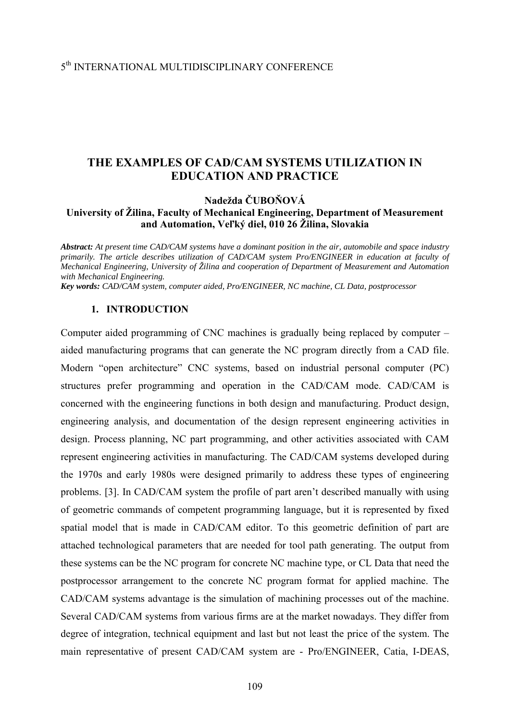# **THE EXAMPLES OF CAD/CAM SYSTEMS UTILIZATION IN EDUCATION AND PRACTICE**

**Nadežda ČUBOŇOVÁ** 

## **University of Žilina, Faculty of Mechanical Engineering, Department of Measurement and Automation, Veľký diel, 010 26 Žilina, Slovakia**

*Abstract: At present time CAD/CAM systems have a dominant position in the air, automobile and space industry primarily. The article describes utilization of CAD/CAM system Pro/ENGINEER in education at faculty of Mechanical Engineering, University of Žilina and cooperation of Department of Measurement and Automation with Mechanical Engineering.* 

*Key words: CAD/CAM system, computer aided, Pro/ENGINEER, NC machine, CL Data, postprocessor*

### **1. INTRODUCTION**

Computer aided programming of CNC machines is gradually being replaced by computer – aided manufacturing programs that can generate the NC program directly from a CAD file. Modern "open architecture" CNC systems, based on industrial personal computer (PC) structures prefer programming and operation in the CAD/CAM mode. CAD/CAM is concerned with the engineering functions in both design and manufacturing. Product design, engineering analysis, and documentation of the design represent engineering activities in design. Process planning, NC part programming, and other activities associated with CAM represent engineering activities in manufacturing. The CAD/CAM systems developed during the 1970s and early 1980s were designed primarily to address these types of engineering problems. [3]. In CAD/CAM system the profile of part aren't described manually with using of geometric commands of competent programming language, but it is represented by fixed spatial model that is made in CAD/CAM editor. To this geometric definition of part are attached technological parameters that are needed for tool path generating. The output from these systems can be the NC program for concrete NC machine type, or CL Data that need the postprocessor arrangement to the concrete NC program format for applied machine. The CAD/CAM systems advantage is the simulation of machining processes out of the machine. Several CAD/CAM systems from various firms are at the market nowadays. They differ from degree of integration, technical equipment and last but not least the price of the system. The main representative of present CAD/CAM system are - Pro/ENGINEER, Catia, I-DEAS,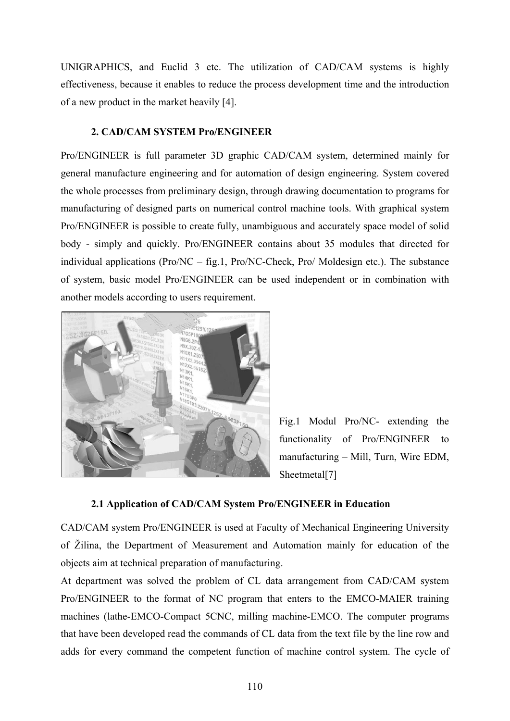UNIGRAPHICS, and Euclid 3 etc. The utilization of CAD/CAM systems is highly effectiveness, because it enables to reduce the process development time and the introduction of a new product in the market heavily [4].

### **2. CAD/CAM SYSTEM Pro/ENGINEER**

Pro/ENGINEER is full parameter 3D graphic CAD/CAM system, determined mainly for general manufacture engineering and for automation of design engineering. System covered the whole processes from preliminary design, through drawing documentation to programs for manufacturing of designed parts on numerical control machine tools. With graphical system Pro/ENGINEER is possible to create fully, unambiguous and accurately space model of solid body - simply and quickly. Pro/ENGINEER contains about 35 modules that directed for individual applications (Pro/NC – fig.1, Pro/NC-Check, Pro/ Moldesign etc.). The substance of system, basic model Pro/ENGINEER can be used independent or in combination with another models according to users requirement.



Fig.1 Modul Pro/NC- extending the functionality of Pro/ENGINEER to manufacturing – Mill, Turn, Wire EDM, Sheetmetal<sup>[7]</sup>

## **2.1 Application of CAD/CAM System Pro/ENGINEER in Education**

CAD/CAM system Pro/ENGINEER is used at Faculty of Mechanical Engineering University of Žilina, the Department of Measurement and Automation mainly for education of the objects aim at technical preparation of manufacturing.

At department was solved the problem of CL data arrangement from CAD/CAM system Pro/ENGINEER to the format of NC program that enters to the EMCO-MAIER training machines (lathe-EMCO-Compact 5CNC, milling machine-EMCO. The computer programs that have been developed read the commands of CL data from the text file by the line row and adds for every command the competent function of machine control system. The cycle of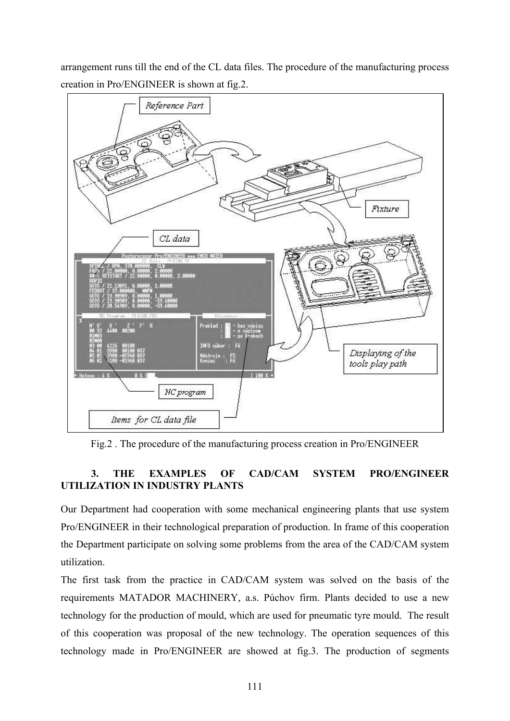arrangement runs till the end of the CL data files. The procedure of the manufacturing process creation in Pro/ENGINEER is shown at fig.2.



Fig.2 . The procedure of the manufacturing process creation in Pro/ENGINEER

# **3. THE EXAMPLES OF CAD/CAM SYSTEM PRO/ENGINEER UTILIZATION IN INDUSTRY PLANTS**

Our Department had cooperation with some mechanical engineering plants that use system Pro/ENGINEER in their technological preparation of production. In frame of this cooperation the Department participate on solving some problems from the area of the CAD/CAM system utilization.

The first task from the practice in CAD/CAM system was solved on the basis of the requirements MATADOR MACHINERY, a.s. Púchov firm. Plants decided to use a new technology for the production of mould, which are used for pneumatic tyre mould. The result of this cooperation was proposal of the new technology. The operation sequences of this technology made in Pro/ENGINEER are showed at fig.3. The production of segments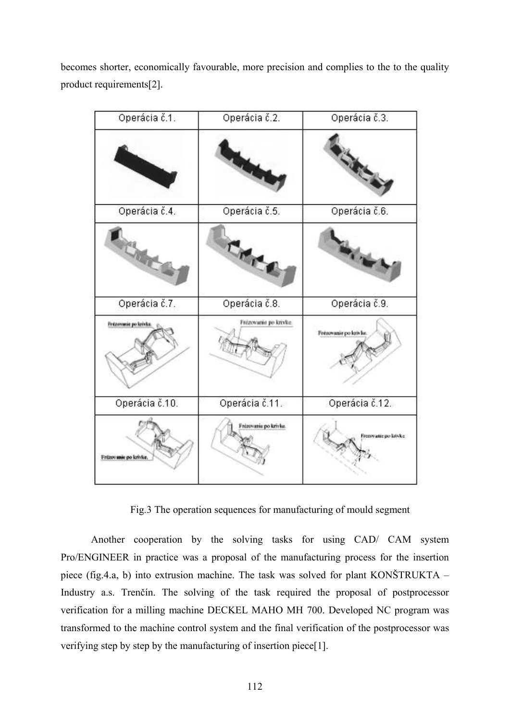becomes shorter, economically favourable, more precision and complies to the to the quality product requirements[2].

| Operácia č.1.           | Operácia č.2.         | Operácia č.3.        |
|-------------------------|-----------------------|----------------------|
|                         |                       |                      |
| Operácia č.4.           | Operácia č.5.         | Operácia č.6.        |
|                         | CHICA                 |                      |
| Operácia č.7.           | Operácia č.8.         | Operácia č.9.        |
| Frézovasie po krivku    | Frézovanie po knyke   | Fréamanie po krivke. |
| Operácia č.10.          | Operácia č.11.        | Operácia č.12.       |
| Fritzovanie po latvice. | Frézovanie po krívke. | Frezoyatic po kriske |

Fig.3 The operation sequences for manufacturing of mould segment

Another cooperation by the solving tasks for using CAD/ CAM system Pro/ENGINEER in practice was a proposal of the manufacturing process for the insertion piece (fig.4.a, b) into extrusion machine. The task was solved for plant KONŠTRUKTA  $-$ Industry a.s. Trenčín. The solving of the task required the proposal of postprocessor verification for a milling machine DECKEL MAHO MH 700. Developed NC program was transformed to the machine control system and the final verification of the postprocessor was verifying step by step by the manufacturing of insertion piece[1].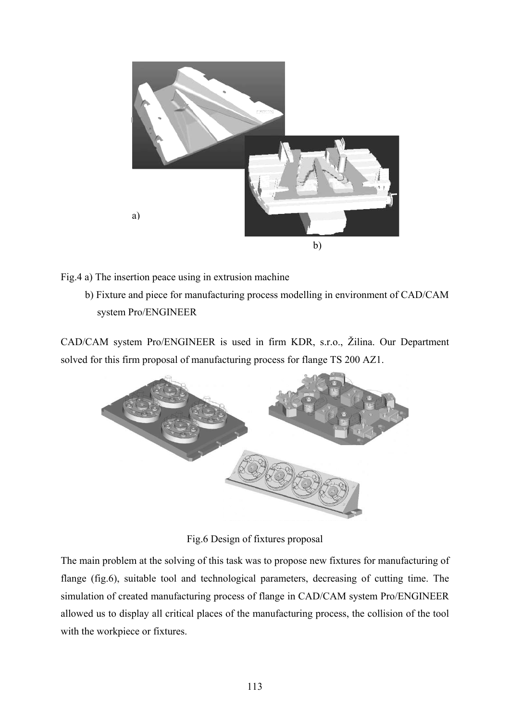

Fig.4 a) The insertion peace using in extrusion machine

b) Fixture and piece for manufacturing process modelling in environment of CAD/CAM system Pro/ENGINEER

CAD/CAM system Pro/ENGINEER is used in firm KDR, s.r.o., Žilina. Our Department solved for this firm proposal of manufacturing process for flange TS 200 AZ1.



Fig.6 Design of fixtures proposal

The main problem at the solving of this task was to propose new fixtures for manufacturing of flange (fig.6), suitable tool and technological parameters, decreasing of cutting time. The simulation of created manufacturing process of flange in CAD/CAM system Pro/ENGINEER allowed us to display all critical places of the manufacturing process, the collision of the tool with the workpiece or fixtures.